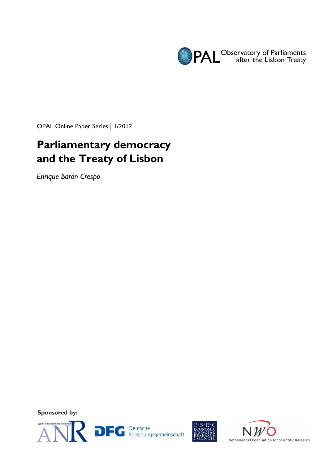

OPAL Online Paper Series | 1/2012

# **Parliamentary democracy and the Treaty of Lisbon**

*Enrique Barón Crespo* 

**Sponsored by:** 





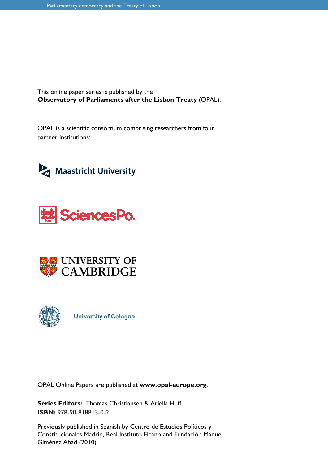This online paper series is published by the **Observatory of Parliaments after the Lisbon Treaty** (OPAL).

OPAL is a scientific consortium comprising researchers from four partner institutions:









**University of Cologne** 

OPAL Online Papers are published at **www.opal-europe.org**.

**Series Editors:** Thomas Christiansen & Ariella Huff **ISBN:** 978-90-818813-0-2

Previously published in Spanish by Centro de Estudios Políticos y Constitucionales Madrid, Real Instituto Elcano and Fundación Manuel Giménez Abad (2010)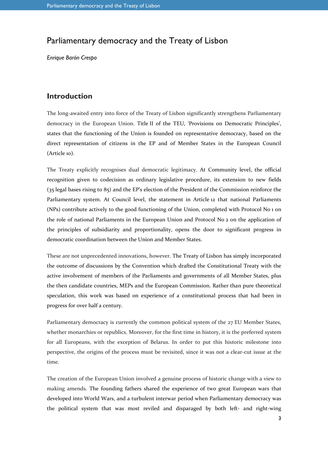## Parliamentary democracy and the Treaty of Lisbon

*Enrique Barón Crespo* 

### **Introduction**

The long-awaited entry into force of the Treaty of Lisbon significantly strengthens Parliamentary democracy in the European Union. Title II of the TEU, 'Provisions on Democratic Principles', states that the functioning of the Union is founded on representative democracy, based on the direct representation of citizens in the EP and of Member States in the European Council (Article 10).

The Treaty explicitly recognises dual democratic legitimacy. At Community level, the official recognition given to codecision as ordinary legislative procedure, its extension to new fields (35 legal bases rising to 85) and the EP's election of the President of the Commission reinforce the Parliamentary system. At Council level, the statement in Article 12 that national Parliaments (NPs) contribute actively to the good functioning of the Union, completed with Protocol No 1 on the role of national Parliaments in the European Union and Protocol No 2 on the application of the principles of subsidiarity and proportionality, opens the door to significant progress in democratic coordination between the Union and Member States.

These are not unprecedented innovations, however. The Treaty of Lisbon has simply incorporated the outcome of discussions by the Convention which drafted the Constitutional Treaty with the active involvement of members of the Parliaments and governments of all Member States, plus the then candidate countries, MEPs and the European Commission. Rather than pure theoretical speculation, this work was based on experience of a constitutional process that had been in progress for over half a century.

Parliamentary democracy is currently the common political system of the 27 EU Member States, whether monarchies or republics. Moreover, for the first time in history, it is the preferred system for all Europeans, with the exception of Belarus. In order to put this historic milestone into perspective, the origins of the process must be revisited, since it was not a clear-cut issue at the time.

The creation of the European Union involved a genuine process of historic change with a view to making amends. The founding fathers shared the experience of two great European wars that developed into World Wars, and a turbulent interwar period when Parliamentary democracy was the political system that was most reviled and disparaged by both left- and right-wing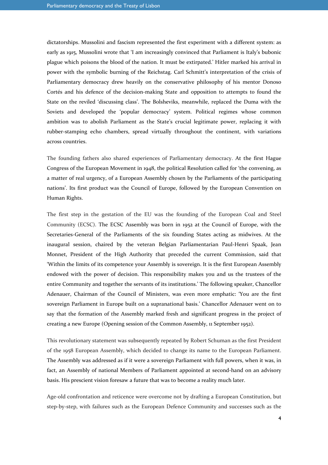dictatorships. Mussolini and fascism represented the first experiment with a different system: as early as 1915, Mussolini wrote that 'I am increasingly convinced that Parliament is Italy's bubonic plague which poisons the blood of the nation. It must be extirpated.' Hitler marked his arrival in power with the symbolic burning of the Reichstag. Carl Schmitt's interpretation of the crisis of Parliamentary democracy drew heavily on the conservative philosophy of his mentor Donoso Cortés and his defence of the decision-making State and opposition to attempts to found the State on the reviled 'discussing class'. The Bolsheviks, meanwhile, replaced the Duma with the Soviets and developed the 'popular democracy' system. Political regimes whose common ambition was to abolish Parliament as the State's crucial legitimate power, replacing it with rubber-stamping echo chambers, spread virtually throughout the continent, with variations across countries.

The founding fathers also shared experiences of Parliamentary democracy. At the first Hague Congress of the European Movement in 1948, the political Resolution called for 'the convening, as a matter of real urgency, of a European Assembly chosen by the Parliaments of the participating nations'. Its first product was the Council of Europe, followed by the European Convention on Human Rights.

The first step in the gestation of the EU was the founding of the European Coal and Steel Community (ECSC). The ECSC Assembly was born in 1952 at the Council of Europe, with the Secretaries-General of the Parliaments of the six founding States acting as midwives. At the inaugural session, chaired by the veteran Belgian Parliamentarian Paul-Henri Spaak, Jean Monnet, President of the High Authority that preceded the current Commission, said that 'Within the limits of its competence your Assembly is sovereign. It is the first European Assembly endowed with the power of decision. This responsibility makes you and us the trustees of the entire Community and together the servants of its institutions.' The following speaker, Chancellor Adenauer, Chairman of the Council of Ministers, was even more emphatic: 'You are the first sovereign Parliament in Europe built on a supranational basis.' Chancellor Adenauer went on to say that the formation of the Assembly marked fresh and significant progress in the project of creating a new Europe (Opening session of the Common Assembly, 11 September 1952).

This revolutionary statement was subsequently repeated by Robert Schuman as the first President of the 1958 European Assembly, which decided to change its name to the European Parliament. The Assembly was addressed as if it were a sovereign Parliament with full powers, when it was, in fact, an Assembly of national Members of Parliament appointed at second-hand on an advisory basis. His prescient vision foresaw a future that was to become a reality much later.

Age-old confrontation and reticence were overcome not by drafting a European Constitution, but step-by-step, with failures such as the European Defence Community and successes such as the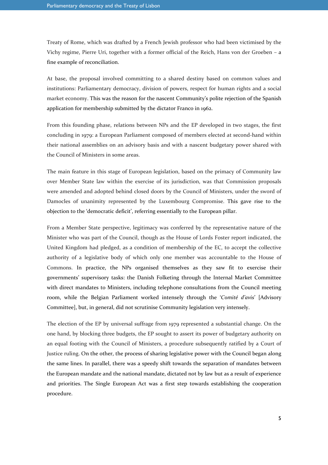Treaty of Rome, which was drafted by a French Jewish professor who had been victimised by the Vichy regime, Pierre Uri, together with a former official of the Reich, Hans von der Groeben – a fine example of reconciliation.

At base, the proposal involved committing to a shared destiny based on common values and institutions: Parliamentary democracy, division of powers, respect for human rights and a social market economy. This was the reason for the nascent Community's polite rejection of the Spanish application for membership submitted by the dictator Franco in 1962.

From this founding phase, relations between NPs and the EP developed in two stages, the first concluding in 1979: a European Parliament composed of members elected at second-hand within their national assemblies on an advisory basis and with a nascent budgetary power shared with the Council of Ministers in some areas.

The main feature in this stage of European legislation, based on the primacy of Community law over Member State law within the exercise of its jurisdiction, was that Commission proposals were amended and adopted behind closed doors by the Council of Ministers, under the sword of Damocles of unanimity represented by the Luxembourg Compromise. This gave rise to the objection to the 'democratic deficit', referring essentially to the European pillar.

From a Member State perspective, legitimacy was conferred by the representative nature of the Minister who was part of the Council, though as the House of Lords Foster report indicated, the United Kingdom had pledged, as a condition of membership of the EC, to accept the collective authority of a legislative body of which only one member was accountable to the House of Commons. In practice, the NPs organised themselves as they saw fit to exercise their governments' supervisory tasks: the Danish Folketing through the Internal Market Committee with direct mandates to Ministers, including telephone consultations from the Council meeting room, while the Belgian Parliament worked intensely through the '*Comité d'avis*' [Advisory Committee], but, in general, did not scrutinise Community legislation very intensely.

The election of the EP by universal suffrage from 1979 represented a substantial change. On the one hand, by blocking three budgets, the EP sought to assert its power of budgetary authority on an equal footing with the Council of Ministers, a procedure subsequently ratified by a Court of Justice ruling. On the other, the process of sharing legislative power with the Council began along the same lines. In parallel, there was a speedy shift towards the separation of mandates between the European mandate and the national mandate, dictated not by law but as a result of experience and priorities. The Single European Act was a first step towards establishing the cooperation procedure.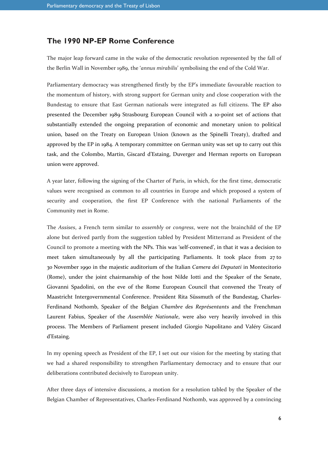## **The 1990 NP-EP Rome Conference**

The major leap forward came in the wake of the democratic revolution represented by the fall of the Berlin Wall in November 1989, the '*annus mirabilis*' symbolising the end of the Cold War.

Parliamentary democracy was strengthened firstly by the EP's immediate favourable reaction to the momentum of history, with strong support for German unity and close cooperation with the Bundestag to ensure that East German nationals were integrated as full citizens. The EP also presented the December 1989 Strasbourg European Council with a 10-point set of actions that substantially extended the ongoing preparation of economic and monetary union to political union, based on the Treaty on European Union (known as the Spinelli Treaty), drafted and approved by the EP in 1984. A temporary committee on German unity was set up to carry out this task, and the Colombo, Martin, Giscard d'Estaing, Duverger and Herman reports on European union were approved.

A year later, following the signing of the Charter of Paris, in which, for the first time, democratic values were recognised as common to all countries in Europe and which proposed a system of security and cooperation, the first EP Conference with the national Parliaments of the Community met in Rome.

The *Assises*, a French term similar to *assembly* or *congress*, were not the brainchild of the EP alone but derived partly from the suggestion tabled by President Mitterrand as President of the Council to promote a meeting with the NPs. This was 'self-convened', in that it was a decision to meet taken simultaneously by all the participating Parliaments. It took place from 27 to 30 November 1990 in the majestic auditorium of the Italian *Camera dei Deputati* in Montecitorio (Rome), under the joint chairmanship of the host Nilde Iotti and the Speaker of the Senate, Giovanni Spadolini, on the eve of the Rome European Council that convened the Treaty of Maastricht Intergovernmental Conference. President Rita Süssmuth of the Bundestag, Charles-Ferdinand Nothomb, Speaker of the Belgian *Chambre des Représentants* and the Frenchman Laurent Fabius, Speaker of the *Assemblée Nationale*, were also very heavily involved in this process. The Members of Parliament present included Giorgio Napolitano and Valéry Giscard d'Estaing.

In my opening speech as President of the EP, I set out our vision for the meeting by stating that we had a shared responsibility to strengthen Parliamentary democracy and to ensure that our deliberations contributed decisively to European unity.

After three days of intensive discussions, a motion for a resolution tabled by the Speaker of the Belgian Chamber of Representatives, Charles-Ferdinand Nothomb, was approved by a convincing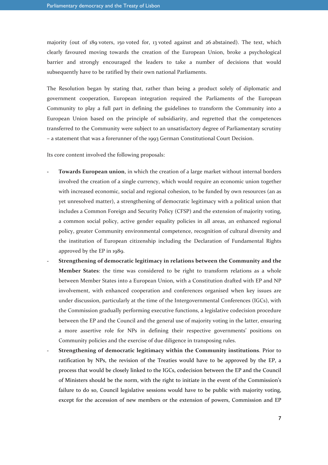majority (out of 189 voters, 150 voted for, 13 voted against and 26 abstained). The text, which clearly favoured moving towards the creation of the European Union, broke a psychological barrier and strongly encouraged the leaders to take a number of decisions that would subsequently have to be ratified by their own national Parliaments.

The Resolution began by stating that, rather than being a product solely of diplomatic and government cooperation, European integration required the Parliaments of the European Community to play a full part in defining the guidelines to transform the Community into a European Union based on the principle of subsidiarity, and regretted that the competences transferred to the Community were subject to an unsatisfactory degree of Parliamentary scrutiny – a statement that was a forerunner of the 1993 German Constitutional Court Decision.

Its core content involved the following proposals:

- Towards European union, in which the creation of a large market without internal borders involved the creation of a single currency, which would require an economic union together with increased economic, social and regional cohesion, to be funded by own resources (an as yet unresolved matter), a strengthening of democratic legitimacy with a political union that includes a Common Foreign and Security Policy (CFSP) and the extension of majority voting, a common social policy, active gender equality policies in all areas, an enhanced regional policy, greater Community environmental competence, recognition of cultural diversity and the institution of European citizenship including the Declaration of Fundamental Rights approved by the EP in 1989.
- **Strengthening of democratic legitimacy in relations between the Community and the Member States**: the time was considered to be right to transform relations as a whole between Member States into a European Union, with a Constitution drafted with EP and NP involvement, with enhanced cooperation and conferences organised when key issues are under discussion, particularly at the time of the Intergovernmental Conferences (IGCs), with the Commission gradually performing executive functions, a legislative codecision procedure between the EP and the Council and the general use of majority voting in the latter, ensuring a more assertive role for NPs in defining their respective governments' positions on Community policies and the exercise of due diligence in transposing rules.
- **Strengthening of democratic legitimacy within the Community institutions**. Prior to ratification by NPs, the revision of the Treaties would have to be approved by the EP, a process that would be closely linked to the IGCs, codecision between the EP and the Council of Ministers should be the norm, with the right to initiate in the event of the Commission's failure to do so, Council legislative sessions would have to be public with majority voting, except for the accession of new members or the extension of powers, Commission and EP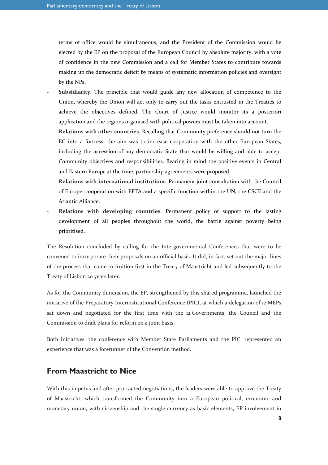terms of office would be simultaneous, and the President of the Commission would be elected by the EP on the proposal of the European Council by absolute majority, with a vote of confidence in the new Commission and a call for Member States to contribute towards making up the democratic deficit by means of systematic information policies and oversight by the NPs.

- **Subsidiarity**. The principle that would guide any new allocation of competence to the Union, whereby the Union will act only to carry out the tasks entrusted in the Treaties to achieve the objectives defined. The Court of Justice would monitor its a posteriori application and the regions organised with political powers must be taken into account.
- **Relations with other countries**. Recalling that Community preference should not turn the EC into a fortress, the aim was to increase cooperation with the other European States, including the accession of any democratic State that would be willing and able to accept Community objectives and responsibilities. Bearing in mind the positive events in Central and Eastern Europe at the time, partnership agreements were proposed.
- **Relations with international institutions**. Permanent joint consultation with the Council of Europe, cooperation with EFTA and a specific function within the UN, the CSCE and the Atlantic Alliance.
- **Relations with developing countries**. Permanent policy of support to the lasting development of all peoples throughout the world, the battle against poverty being prioritised.

The Resolution concluded by calling for the Intergovernmental Conferences that were to be convened to incorporate their proposals on an official basis. It did, in fact, set out the major lines of the process that came to fruition first in the Treaty of Maastricht and led subsequently to the Treaty of Lisbon 20 years later.

As for the Community dimension, the EP, strengthened by this shared programme, launched the initiative of the Preparatory Interinstitutional Conference (PIC), at which a delegation of 12 MEPs sat down and negotiated for the first time with the 12 Governments, the Council and the Commission to draft plans for reform on a joint basis.

Both initiatives, the conference with Member State Parliaments and the PIC, represented an experience that was a forerunner of the Convention method.

#### **From Maastricht to Nice**

With this impetus and after protracted negotiations, the leaders were able to approve the Treaty of Maastricht, which transformed the Community into a European political, economic and monetary union, with citizenship and the single currency as basic elements, EP involvement in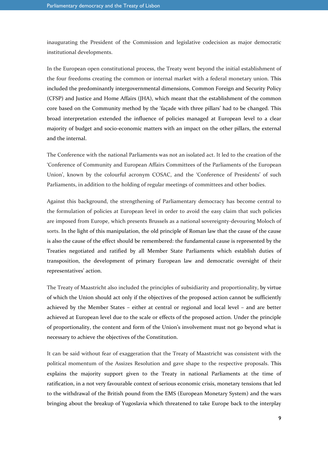inaugurating the President of the Commission and legislative codecision as major democratic institutional developments.

In the European open constitutional process, the Treaty went beyond the initial establishment of the four freedoms creating the common or internal market with a federal monetary union. This included the predominantly intergovernmental dimensions, Common Foreign and Security Policy (CFSP) and Justice and Home Affairs (JHA), which meant that the establishment of the common core based on the Community method by the 'façade with three pillars' had to be changed. This broad interpretation extended the influence of policies managed at European level to a clear majority of budget and socio-economic matters with an impact on the other pillars, the external and the internal.

The Conference with the national Parliaments was not an isolated act. It led to the creation of the 'Conference of Community and European Affairs Committees of the Parliaments of the European Union', known by the colourful acronym COSAC, and the 'Conference of Presidents' of such Parliaments, in addition to the holding of regular meetings of committees and other bodies.

Against this background, the strengthening of Parliamentary democracy has become central to the formulation of policies at European level in order to avoid the easy claim that such policies are imposed from Europe, which presents Brussels as a national sovereignty-devouring Moloch of sorts. In the light of this manipulation, the old principle of Roman law that the cause of the cause is also the cause of the effect should be remembered: the fundamental cause is represented by the Treaties negotiated and ratified by all Member State Parliaments which establish duties of transposition, the development of primary European law and democratic oversight of their representatives' action.

The Treaty of Maastricht also included the principles of subsidiarity and proportionality, by virtue of which the Union should act only if the objectives of the proposed action cannot be sufficiently achieved by the Member States – either at central or regional and local level – and are better achieved at European level due to the scale or effects of the proposed action. Under the principle of proportionality, the content and form of the Union's involvement must not go beyond what is necessary to achieve the objectives of the Constitution.

It can be said without fear of exaggeration that the Treaty of Maastricht was consistent with the political momentum of the Assizes Resolution and gave shape to the respective proposals. This explains the majority support given to the Treaty in national Parliaments at the time of ratification, in a not very favourable context of serious economic crisis, monetary tensions that led to the withdrawal of the British pound from the EMS (European Monetary System) and the wars bringing about the breakup of Yugoslavia which threatened to take Europe back to the interplay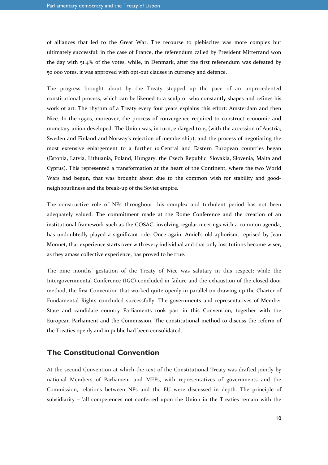of alliances that led to the Great War. The recourse to plebiscites was more complex but ultimately successful: in the case of France, the referendum called by President Mitterrand won the day with 51.4% of the votes, while, in Denmark, after the first referendum was defeated by 50 000 votes, it was approved with opt-out clauses in currency and defence.

The progress brought about by the Treaty stepped up the pace of an unprecedented constitutional process, which can be likened to a sculptor who constantly shapes and refines his work of art. The rhythm of a Treaty every four years explains this effort: Amsterdam and then Nice. In the 1990s, moreover, the process of convergence required to construct economic and monetary union developed. The Union was, in turn, enlarged to 15 (with the accession of Austria, Sweden and Finland and Norway's rejection of membership), and the process of negotiating the most extensive enlargement to a further 10 Central and Eastern European countries began (Estonia, Latvia, Lithuania, Poland, Hungary, the Czech Republic, Slovakia, Slovenia, Malta and Cyprus). This represented a transformation at the heart of the Continent, where the two World Wars had begun, that was brought about due to the common wish for stability and goodneighbourliness and the break-up of the Soviet empire.

The constructive role of NPs throughout this complex and turbulent period has not been adequately valued. The commitment made at the Rome Conference and the creation of an institutional framework such as the COSAC, involving regular meetings with a common agenda, has undoubtedly played a significant role. Once again, Amiel's old aphorism, reprised by Jean Monnet, that experience starts over with every individual and that only institutions become wiser, as they amass collective experience, has proved to be true.

The nine months' gestation of the Treaty of Nice was salutary in this respect: while the Intergovernmental Conference (IGC) concluded in failure and the exhaustion of the closed-door method, the first Convention that worked quite openly in parallel on drawing up the Charter of Fundamental Rights concluded successfully. The governments and representatives of Member State and candidate country Parliaments took part in this Convention, together with the European Parliament and the Commission. The constitutional method to discuss the reform of the Treaties openly and in public had been consolidated.

#### **The Constitutional Convention**

At the second Convention at which the text of the Constitutional Treaty was drafted jointly by national Members of Parliament and MEPs, with representatives of governments and the Commission, relations between NPs and the EU were discussed in depth. The principle of subsidiarity – 'all competences not conferred upon the Union in the Treaties remain with the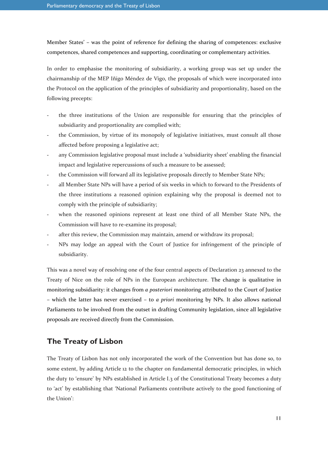Member States' – was the point of reference for defining the sharing of competences: exclusive competences, shared competences and supporting, coordinating or complementary activities.

In order to emphasise the monitoring of subsidiarity, a working group was set up under the chairmanship of the MEP Iñigo Méndez de Vigo, the proposals of which were incorporated into the Protocol on the application of the principles of subsidiarity and proportionality, based on the following precepts:

- the three institutions of the Union are responsible for ensuring that the principles of subsidiarity and proportionality are complied with;
- the Commission, by virtue of its monopoly of legislative initiatives, must consult all those affected before proposing a legislative act;
- any Commission legislative proposal must include a 'subsidiarity sheet' enabling the financial impact and legislative repercussions of such a measure to be assessed;
- the Commission will forward all its legislative proposals directly to Member State NPs;
- all Member State NPs will have a period of six weeks in which to forward to the Presidents of the three institutions a reasoned opinion explaining why the proposal is deemed not to comply with the principle of subsidiarity;
- when the reasoned opinions represent at least one third of all Member State NPs, the Commission will have to re-examine its proposal;
- after this review, the Commission may maintain, amend or withdraw its proposal;
- NPs may lodge an appeal with the Court of Justice for infringement of the principle of subsidiarity.

This was a novel way of resolving one of the four central aspects of Declaration 23 annexed to the Treaty of Nice on the role of NPs in the European architecture. The change is qualitative in monitoring subsidiarity: it changes from *a posteriori* monitoring attributed to the Court of Justice – which the latter has never exercised – to *a priori* monitoring by NPs. It also allows national Parliaments to be involved from the outset in drafting Community legislation, since all legislative proposals are received directly from the Commission.

## **The Treaty of Lisbon**

The Treaty of Lisbon has not only incorporated the work of the Convention but has done so, to some extent, by adding Article 12 to the chapter on fundamental democratic principles, in which the duty to 'ensure' by NPs established in Article I.3 of the Constitutional Treaty becomes a duty to 'act' by establishing that 'National Parliaments contribute actively to the good functioning of the Union':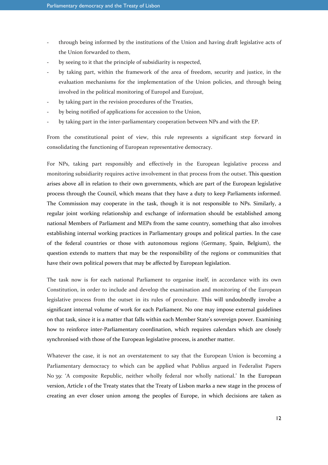- through being informed by the institutions of the Union and having draft legislative acts of the Union forwarded to them,
- by seeing to it that the principle of subsidiarity is respected,
- by taking part, within the framework of the area of freedom, security and justice, in the evaluation mechanisms for the implementation of the Union policies, and through being involved in the political monitoring of Europol and Eurojust,
- by taking part in the revision procedures of the Treaties,
- by being notified of applications for accession to the Union,
- by taking part in the inter-parliamentary cooperation between NPs and with the EP.

From the constitutional point of view, this rule represents a significant step forward in consolidating the functioning of European representative democracy.

For NPs, taking part responsibly and effectively in the European legislative process and monitoring subsidiarity requires active involvement in that process from the outset. This question arises above all in relation to their own governments, which are part of the European legislative process through the Council, which means that they have a duty to keep Parliaments informed. The Commission may cooperate in the task, though it is not responsible to NPs. Similarly, a regular joint working relationship and exchange of information should be established among national Members of Parliament and MEPs from the same country, something that also involves establishing internal working practices in Parliamentary groups and political parties. In the case of the federal countries or those with autonomous regions (Germany, Spain, Belgium), the question extends to matters that may be the responsibility of the regions or communities that have their own political powers that may be affected by European legislation.

The task now is for each national Parliament to organise itself, in accordance with its own Constitution, in order to include and develop the examination and monitoring of the European legislative process from the outset in its rules of procedure. This will undoubtedly involve a significant internal volume of work for each Parliament. No one may impose external guidelines on that task, since it is a matter that falls within each Member State's sovereign power. Examining how to reinforce inter-Parliamentary coordination, which requires calendars which are closely synchronised with those of the European legislative process, is another matter.

Whatever the case, it is not an overstatement to say that the European Union is becoming a Parliamentary democracy to which can be applied what Publius argued in Federalist Papers No 39: 'A composite Republic, neither wholly federal nor wholly national.' In the European version, Article 1 of the Treaty states that the Treaty of Lisbon marks a new stage in the process of creating an ever closer union among the peoples of Europe, in which decisions are taken as